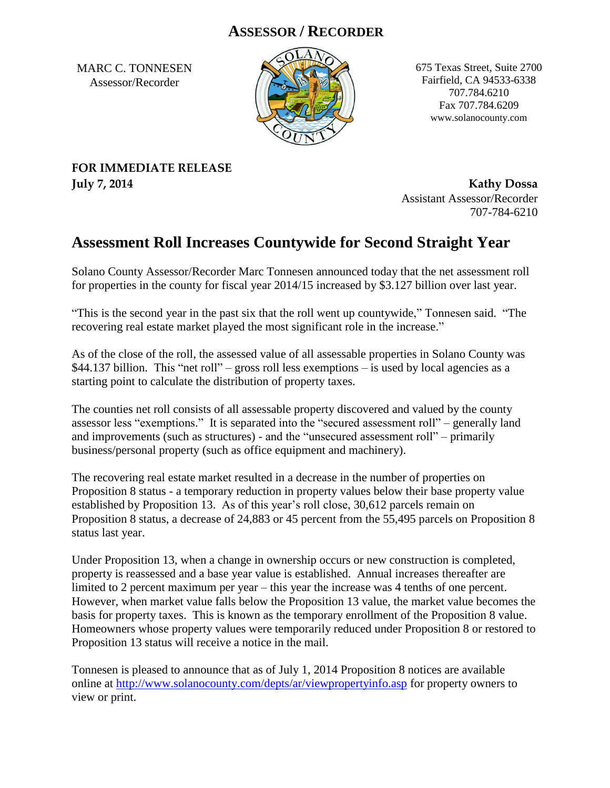## **ASSESSOR / RECORDER**

MARC C. TONNESEN Assessor/Recorder



675 Texas Street, Suite 2700 Fairfield, CA 94533-6338 707.784.6210 Fax 707.784.6209 www.solanocounty.com

## **FOR IMMEDIATE RELEASE July 7, 2014 Kathy Dossa**

Assistant Assessor/Recorder 707-784-6210

## **Assessment Roll Increases Countywide for Second Straight Year**

Solano County Assessor/Recorder Marc Tonnesen announced today that the net assessment roll for properties in the county for fiscal year 2014/15 increased by \$3.127 billion over last year.

"This is the second year in the past six that the roll went up countywide," Tonnesen said. "The recovering real estate market played the most significant role in the increase."

As of the close of the roll, the assessed value of all assessable properties in Solano County was \$44.137 billion. This "net roll" – gross roll less exemptions – is used by local agencies as a starting point to calculate the distribution of property taxes.

The counties net roll consists of all assessable property discovered and valued by the county assessor less "exemptions." It is separated into the "secured assessment roll" – generally land and improvements (such as structures) - and the "unsecured assessment roll" – primarily business/personal property (such as office equipment and machinery).

The recovering real estate market resulted in a decrease in the number of properties on Proposition 8 status - a temporary reduction in property values below their base property value established by Proposition 13. As of this year's roll close, 30,612 parcels remain on Proposition 8 status, a decrease of 24,883 or 45 percent from the 55,495 parcels on Proposition 8 status last year.

Under Proposition 13, when a change in ownership occurs or new construction is completed, property is reassessed and a base year value is established. Annual increases thereafter are limited to 2 percent maximum per year – this year the increase was 4 tenths of one percent. However, when market value falls below the Proposition 13 value, the market value becomes the basis for property taxes. This is known as the temporary enrollment of the Proposition 8 value. Homeowners whose property values were temporarily reduced under Proposition 8 or restored to Proposition 13 status will receive a notice in the mail.

Tonnesen is pleased to announce that as of July 1, 2014 Proposition 8 notices are available online at<http://www.solanocounty.com/depts/ar/viewpropertyinfo.asp> for property owners to view or print.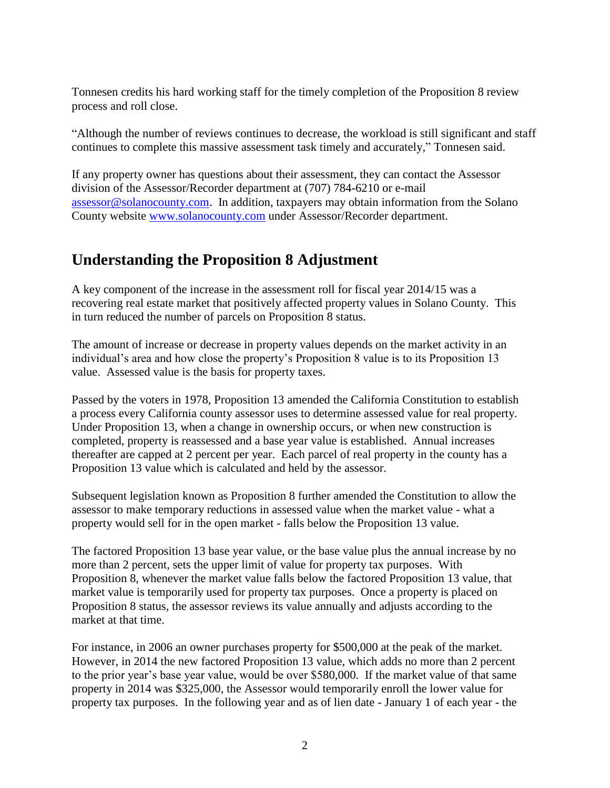Tonnesen credits his hard working staff for the timely completion of the Proposition 8 review process and roll close.

"Although the number of reviews continues to decrease, the workload is still significant and staff continues to complete this massive assessment task timely and accurately," Tonnesen said.

If any property owner has questions about their assessment, they can contact the Assessor division of the Assessor/Recorder department at (707) 784-6210 or e-mail [assessor@solanocounty.com.](mailto:assessor@solanocounty.com) In addition, taxpayers may obtain information from the Solano County website [www.solanocounty.com](http://www.solanocounty.com/) under Assessor/Recorder department.

## **Understanding the Proposition 8 Adjustment**

A key component of the increase in the assessment roll for fiscal year 2014/15 was a recovering real estate market that positively affected property values in Solano County. This in turn reduced the number of parcels on Proposition 8 status.

The amount of increase or decrease in property values depends on the market activity in an individual's area and how close the property's Proposition 8 value is to its Proposition 13 value. Assessed value is the basis for property taxes.

Passed by the voters in 1978, Proposition 13 amended the California Constitution to establish a process every California county assessor uses to determine assessed value for real property. Under Proposition 13, when a change in ownership occurs, or when new construction is completed, property is reassessed and a base year value is established. Annual increases thereafter are capped at 2 percent per year. Each parcel of real property in the county has a Proposition 13 value which is calculated and held by the assessor.

Subsequent legislation known as Proposition 8 further amended the Constitution to allow the assessor to make temporary reductions in assessed value when the market value - what a property would sell for in the open market - falls below the Proposition 13 value.

The factored Proposition 13 base year value, or the base value plus the annual increase by no more than 2 percent, sets the upper limit of value for property tax purposes. With Proposition 8, whenever the market value falls below the factored Proposition 13 value, that market value is temporarily used for property tax purposes. Once a property is placed on Proposition 8 status, the assessor reviews its value annually and adjusts according to the market at that time.

For instance, in 2006 an owner purchases property for \$500,000 at the peak of the market. However, in 2014 the new factored Proposition 13 value, which adds no more than 2 percent to the prior year's base year value, would be over \$580,000. If the market value of that same property in 2014 was \$325,000, the Assessor would temporarily enroll the lower value for property tax purposes. In the following year and as of lien date - January 1 of each year - the